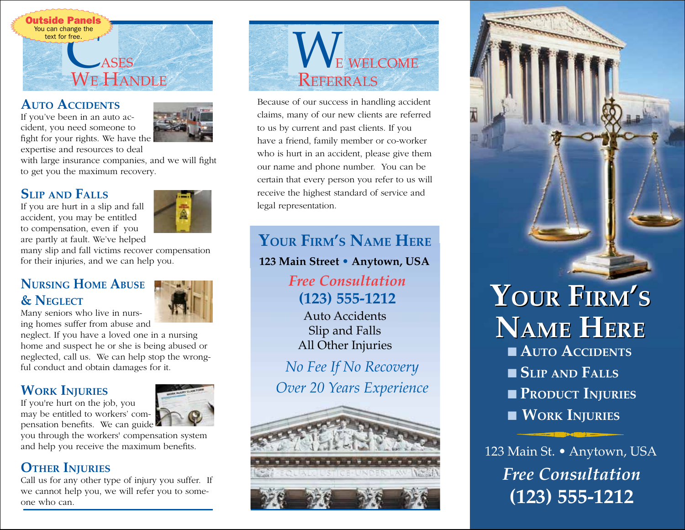

#### **AUTO ACCIDENTS**

If you've been in an auto accident, you need someone to fight for your rights. We have the expertise and resources to deal



with large insurance companies, and we will fight to get you the maximum recovery.

#### **SLIP AND FALLS**

If you are hurt in a slip and fall accident, you may be entitled to compensation, even if you are partly at fault. We've helped



many slip and fall victims recover compensation for their injuries, and we can help you.

#### **NURSING HOME ABUSE & NEGLECT**

Many seniors who live in nursing homes suffer from abuse and

neglect. If you have a loved one in a nursing home and suspect he or she is being abused or neglected, call us. We can help stop the wrongful conduct and obtain damages for it.

#### **WORK INJURIES**

If you're hurt on the job, you may be entitled to workers' compensation benefits. We can guide



you through the workers' compensation system and help you receive the maximum benefits.

#### **OTHER INJURIES**

Call us for any other type of injury you suffer. If we cannot help you, we will refer you to someone who can.



Because of our success in handling accident claims, many of our new clients are referred to us by current and past clients. If you have a friend, family member or co-worker who is hurt in an accident, please give them our name and phone number. You can be certain that every person you refer to us will receive the highest standard of service and legal representation.

# **YOUR FIRM'S NAME HERE**

**123 Main Street • Anytown, USA**

*Free Consultation* **(123) 555-1212**

Auto Accidents Slip and Falls All Other Injuries

*No Fee If No Recovery Over 20 Years Experience*





# ■ **AUTO ACCIDENTS** ■ **SLIP AND FALLS** ■ **PRODUCT INJURIES** ■ **WORK INJURIES YOUR FIRM'S YOUR FIRM'S NAME HERE NAME HERE**

123 Main St. • Anytown, USA *Free Consultation* **(123) 555-1212**